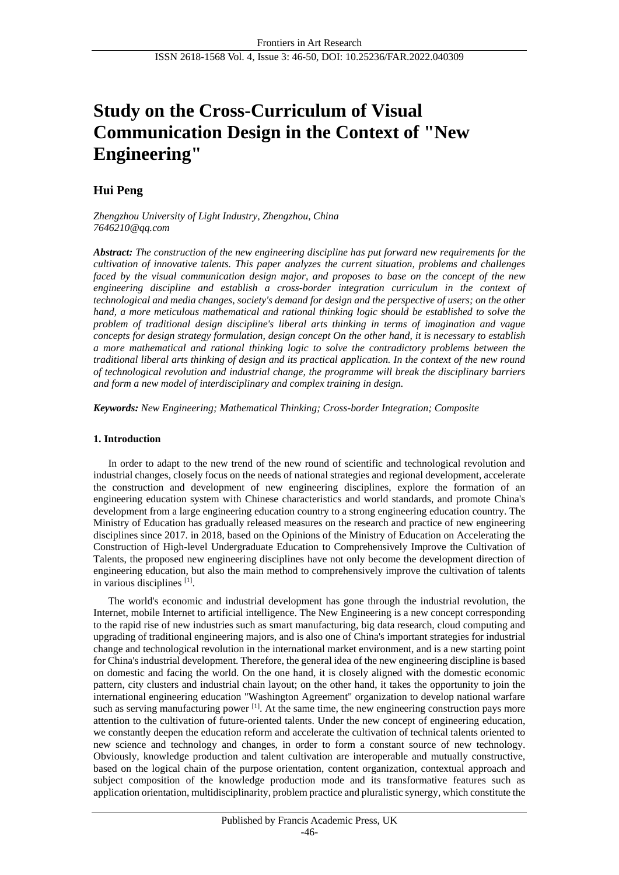# **Study on the Cross-Curriculum of Visual Communication Design in the Context of "New Engineering"**

## **Hui Peng**

*Zhengzhou University of Light Industry, Zhengzhou, China [7646210@qq.com](mailto:7646210@qq.com)*

*Abstract: The construction of the new engineering discipline has put forward new requirements for the cultivation of innovative talents. This paper analyzes the current situation, problems and challenges faced by the visual communication design major, and proposes to base on the concept of the new engineering discipline and establish a cross-border integration curriculum in the context of technological and media changes, society's demand for design and the perspective of users; on the other hand, a more meticulous mathematical and rational thinking logic should be established to solve the problem of traditional design discipline's liberal arts thinking in terms of imagination and vague concepts for design strategy formulation, design concept On the other hand, it is necessary to establish a more mathematical and rational thinking logic to solve the contradictory problems between the traditional liberal arts thinking of design and its practical application. In the context of the new round of technological revolution and industrial change, the programme will break the disciplinary barriers and form a new model of interdisciplinary and complex training in design.*

*Keywords: New Engineering; Mathematical Thinking; Cross-border Integration; Composite*

## **1. Introduction**

In order to adapt to the new trend of the new round of scientific and technological revolution and industrial changes, closely focus on the needs of national strategies and regional development, accelerate the construction and development of new engineering disciplines, explore the formation of an engineering education system with Chinese characteristics and world standards, and promote China's development from a large engineering education country to a strong engineering education country. The Ministry of Education has gradually released measures on the research and practice of new engineering disciplines since 2017. in 2018, based on the Opinions of the Ministry of Education on Accelerating the Construction of High-level Undergraduate Education to Comprehensively Improve the Cultivation of Talents, the proposed new engineering disciplines have not only become the development direction of engineering education, but also the main method to comprehensively improve the cultivation of talents in various disciplines [1].

The world's economic and industrial development has gone through the industrial revolution, the Internet, mobile Internet to artificial intelligence. The New Engineering is a new concept corresponding to the rapid rise of new industries such as smart manufacturing, big data research, cloud computing and upgrading of traditional engineering majors, and is also one of China's important strategies for industrial change and technological revolution in the international market environment, and is a new starting point for China's industrial development. Therefore, the general idea of the new engineering discipline is based on domestic and facing the world. On the one hand, it is closely aligned with the domestic economic pattern, city clusters and industrial chain layout; on the other hand, it takes the opportunity to join the international engineering education "Washington Agreement" organization to develop national warfare such as serving manufacturing power  $\left[1\right]$ . At the same time, the new engineering construction pays more attention to the cultivation of future-oriented talents. Under the new concept of engineering education, we constantly deepen the education reform and accelerate the cultivation of technical talents oriented to new science and technology and changes, in order to form a constant source of new technology. Obviously, knowledge production and talent cultivation are interoperable and mutually constructive, based on the logical chain of the purpose orientation, content organization, contextual approach and subject composition of the knowledge production mode and its transformative features such as application orientation, multidisciplinarity, problem practice and pluralistic synergy, which constitute the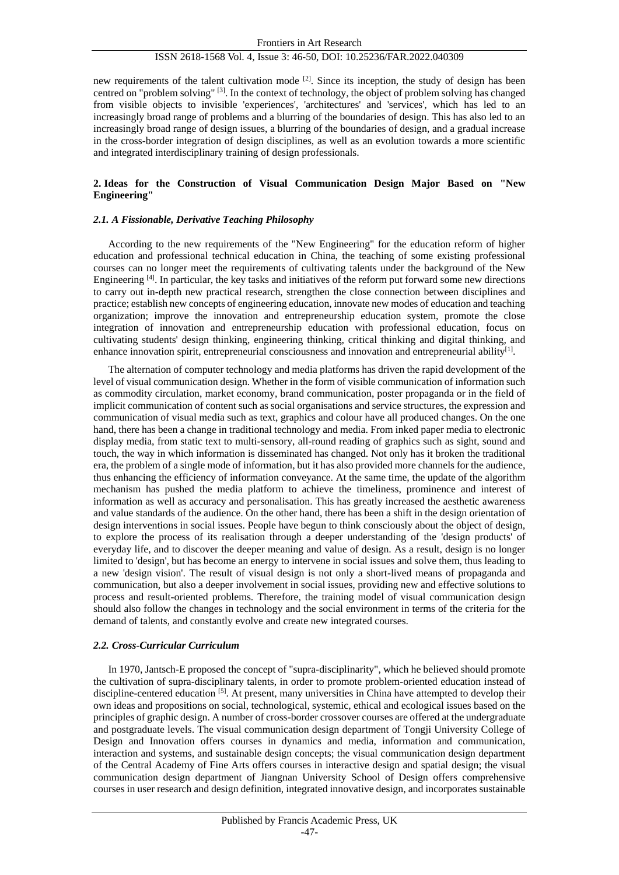new requirements of the talent cultivation mode <sup>[2]</sup>. Since its inception, the study of design has been centred on "problem solving" [3]. In the context of technology, the object of problem solving has changed from visible objects to invisible 'experiences', 'architectures' and 'services', which has led to an increasingly broad range of problems and a blurring of the boundaries of design. This has also led to an increasingly broad range of design issues, a blurring of the boundaries of design, and a gradual increase in the cross-border integration of design disciplines, as well as an evolution towards a more scientific and integrated interdisciplinary training of design professionals.

## **2. Ideas for the Construction of Visual Communication Design Major Based on "New Engineering"**

#### *2.1. A Fissionable, Derivative Teaching Philosophy*

According to the new requirements of the "New Engineering" for the education reform of higher education and professional technical education in China, the teaching of some existing professional courses can no longer meet the requirements of cultivating talents under the background of the New Engineering [4]. In particular, the key tasks and initiatives of the reform put forward some new directions to carry out in-depth new practical research, strengthen the close connection between disciplines and practice; establish new concepts of engineering education, innovate new modes of education and teaching organization; improve the innovation and entrepreneurship education system, promote the close integration of innovation and entrepreneurship education with professional education, focus on cultivating students' design thinking, engineering thinking, critical thinking and digital thinking, and enhance innovation spirit, entrepreneurial consciousness and innovation and entrepreneurial ability $[1]$ .

The alternation of computer technology and media platforms has driven the rapid development of the level of visual communication design. Whether in the form of visible communication of information such as commodity circulation, market economy, brand communication, poster propaganda or in the field of implicit communication of content such as social organisations and service structures, the expression and communication of visual media such as text, graphics and colour have all produced changes. On the one hand, there has been a change in traditional technology and media. From inked paper media to electronic display media, from static text to multi-sensory, all-round reading of graphics such as sight, sound and touch, the way in which information is disseminated has changed. Not only has it broken the traditional era, the problem of a single mode of information, but it has also provided more channels for the audience, thus enhancing the efficiency of information conveyance. At the same time, the update of the algorithm mechanism has pushed the media platform to achieve the timeliness, prominence and interest of information as well as accuracy and personalisation. This has greatly increased the aesthetic awareness and value standards of the audience. On the other hand, there has been a shift in the design orientation of design interventions in social issues. People have begun to think consciously about the object of design, to explore the process of its realisation through a deeper understanding of the 'design products' of everyday life, and to discover the deeper meaning and value of design. As a result, design is no longer limited to 'design', but has become an energy to intervene in social issues and solve them, thus leading to a new 'design vision'. The result of visual design is not only a short-lived means of propaganda and communication, but also a deeper involvement in social issues, providing new and effective solutions to process and result-oriented problems. Therefore, the training model of visual communication design should also follow the changes in technology and the social environment in terms of the criteria for the demand of talents, and constantly evolve and create new integrated courses.

#### *2.2. Cross-Curricular Curriculum*

In 1970, Jantsch-E proposed the concept of "supra-disciplinarity", which he believed should promote the cultivation of supra-disciplinary talents, in order to promote problem-oriented education instead of discipline-centered education [5]. At present, many universities in China have attempted to develop their own ideas and propositions on social, technological, systemic, ethical and ecological issues based on the principles of graphic design. A number of cross-border crossover courses are offered at the undergraduate and postgraduate levels. The visual communication design department of Tongji University College of Design and Innovation offers courses in dynamics and media, information and communication, interaction and systems, and sustainable design concepts; the visual communication design department of the Central Academy of Fine Arts offers courses in interactive design and spatial design; the visual communication design department of Jiangnan University School of Design offers comprehensive courses in user research and design definition, integrated innovative design, and incorporates sustainable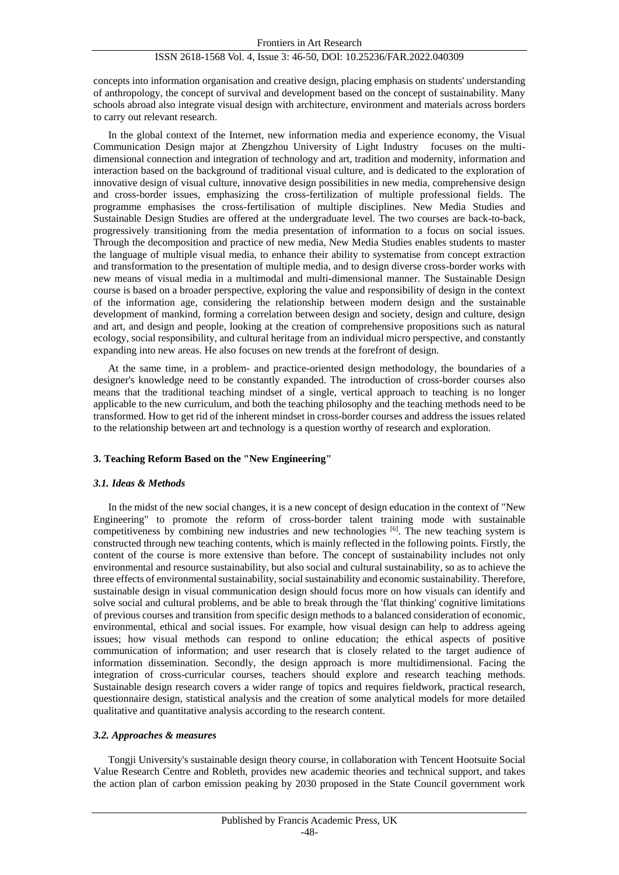concepts into information organisation and creative design, placing emphasis on students' understanding of anthropology, the concept of survival and development based on the concept of sustainability. Many schools abroad also integrate visual design with architecture, environment and materials across borders to carry out relevant research.

In the global context of the Internet, new information media and experience economy, the Visual Communication Design major at Zhengzhou University of Light Industry focuses on the multidimensional connection and integration of technology and art, tradition and modernity, information and interaction based on the background of traditional visual culture, and is dedicated to the exploration of innovative design of visual culture, innovative design possibilities in new media, comprehensive design and cross-border issues, emphasizing the cross-fertilization of multiple professional fields. The programme emphasises the cross-fertilisation of multiple disciplines. New Media Studies and Sustainable Design Studies are offered at the undergraduate level. The two courses are back-to-back, progressively transitioning from the media presentation of information to a focus on social issues. Through the decomposition and practice of new media, New Media Studies enables students to master the language of multiple visual media, to enhance their ability to systematise from concept extraction and transformation to the presentation of multiple media, and to design diverse cross-border works with new means of visual media in a multimodal and multi-dimensional manner. The Sustainable Design course is based on a broader perspective, exploring the value and responsibility of design in the context of the information age, considering the relationship between modern design and the sustainable development of mankind, forming a correlation between design and society, design and culture, design and art, and design and people, looking at the creation of comprehensive propositions such as natural ecology, social responsibility, and cultural heritage from an individual micro perspective, and constantly expanding into new areas. He also focuses on new trends at the forefront of design.

At the same time, in a problem- and practice-oriented design methodology, the boundaries of a designer's knowledge need to be constantly expanded. The introduction of cross-border courses also means that the traditional teaching mindset of a single, vertical approach to teaching is no longer applicable to the new curriculum, and both the teaching philosophy and the teaching methods need to be transformed. How to get rid of the inherent mindset in cross-border courses and address the issues related to the relationship between art and technology is a question worthy of research and exploration.

## **3. Teaching Reform Based on the "New Engineering"**

## *3.1. Ideas & Methods*

In the midst of the new social changes, it is a new concept of design education in the context of "New Engineering" to promote the reform of cross-border talent training mode with sustainable competitiveness by combining new industries and new technologies [6]. The new teaching system is constructed through new teaching contents, which is mainly reflected in the following points. Firstly, the content of the course is more extensive than before. The concept of sustainability includes not only environmental and resource sustainability, but also social and cultural sustainability, so as to achieve the three effects of environmental sustainability, social sustainability and economic sustainability. Therefore, sustainable design in visual communication design should focus more on how visuals can identify and solve social and cultural problems, and be able to break through the 'flat thinking' cognitive limitations of previous courses and transition from specific design methods to a balanced consideration of economic, environmental, ethical and social issues. For example, how visual design can help to address ageing issues; how visual methods can respond to online education; the ethical aspects of positive communication of information; and user research that is closely related to the target audience of information dissemination. Secondly, the design approach is more multidimensional. Facing the integration of cross-curricular courses, teachers should explore and research teaching methods. Sustainable design research covers a wider range of topics and requires fieldwork, practical research, questionnaire design, statistical analysis and the creation of some analytical models for more detailed qualitative and quantitative analysis according to the research content.

## *3.2. Approaches & measures*

Tongji University's sustainable design theory course, in collaboration with Tencent Hootsuite Social Value Research Centre and Robleth, provides new academic theories and technical support, and takes the action plan of carbon emission peaking by 2030 proposed in the State Council government work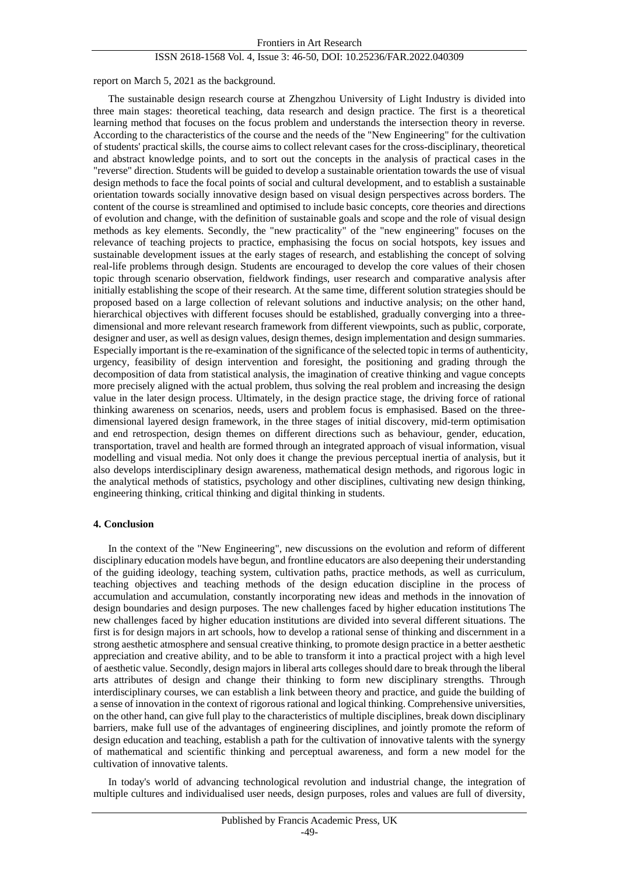report on March 5, 2021 as the background.

The sustainable design research course at Zhengzhou University of Light Industry is divided into three main stages: theoretical teaching, data research and design practice. The first is a theoretical learning method that focuses on the focus problem and understands the intersection theory in reverse. According to the characteristics of the course and the needs of the "New Engineering" for the cultivation of students' practical skills, the course aims to collect relevant cases for the cross-disciplinary, theoretical and abstract knowledge points, and to sort out the concepts in the analysis of practical cases in the "reverse" direction. Students will be guided to develop a sustainable orientation towards the use of visual design methods to face the focal points of social and cultural development, and to establish a sustainable orientation towards socially innovative design based on visual design perspectives across borders. The content of the course is streamlined and optimised to include basic concepts, core theories and directions of evolution and change, with the definition of sustainable goals and scope and the role of visual design methods as key elements. Secondly, the "new practicality" of the "new engineering" focuses on the relevance of teaching projects to practice, emphasising the focus on social hotspots, key issues and sustainable development issues at the early stages of research, and establishing the concept of solving real-life problems through design. Students are encouraged to develop the core values of their chosen topic through scenario observation, fieldwork findings, user research and comparative analysis after initially establishing the scope of their research. At the same time, different solution strategies should be proposed based on a large collection of relevant solutions and inductive analysis; on the other hand, hierarchical objectives with different focuses should be established, gradually converging into a threedimensional and more relevant research framework from different viewpoints, such as public, corporate, designer and user, as well as design values, design themes, design implementation and design summaries. Especially important is the re-examination of the significance of the selected topic in terms of authenticity, urgency, feasibility of design intervention and foresight, the positioning and grading through the decomposition of data from statistical analysis, the imagination of creative thinking and vague concepts more precisely aligned with the actual problem, thus solving the real problem and increasing the design value in the later design process. Ultimately, in the design practice stage, the driving force of rational thinking awareness on scenarios, needs, users and problem focus is emphasised. Based on the threedimensional layered design framework, in the three stages of initial discovery, mid-term optimisation and end retrospection, design themes on different directions such as behaviour, gender, education, transportation, travel and health are formed through an integrated approach of visual information, visual modelling and visual media. Not only does it change the previous perceptual inertia of analysis, but it also develops interdisciplinary design awareness, mathematical design methods, and rigorous logic in the analytical methods of statistics, psychology and other disciplines, cultivating new design thinking, engineering thinking, critical thinking and digital thinking in students.

## **4. Conclusion**

In the context of the "New Engineering", new discussions on the evolution and reform of different disciplinary education models have begun, and frontline educators are also deepening their understanding of the guiding ideology, teaching system, cultivation paths, practice methods, as well as curriculum, teaching objectives and teaching methods of the design education discipline in the process of accumulation and accumulation, constantly incorporating new ideas and methods in the innovation of design boundaries and design purposes. The new challenges faced by higher education institutions The new challenges faced by higher education institutions are divided into several different situations. The first is for design majors in art schools, how to develop a rational sense of thinking and discernment in a strong aesthetic atmosphere and sensual creative thinking, to promote design practice in a better aesthetic appreciation and creative ability, and to be able to transform it into a practical project with a high level of aesthetic value. Secondly, design majors in liberal arts colleges should dare to break through the liberal arts attributes of design and change their thinking to form new disciplinary strengths. Through interdisciplinary courses, we can establish a link between theory and practice, and guide the building of a sense of innovation in the context of rigorous rational and logical thinking. Comprehensive universities, on the other hand, can give full play to the characteristics of multiple disciplines, break down disciplinary barriers, make full use of the advantages of engineering disciplines, and jointly promote the reform of design education and teaching, establish a path for the cultivation of innovative talents with the synergy of mathematical and scientific thinking and perceptual awareness, and form a new model for the cultivation of innovative talents.

In today's world of advancing technological revolution and industrial change, the integration of multiple cultures and individualised user needs, design purposes, roles and values are full of diversity,